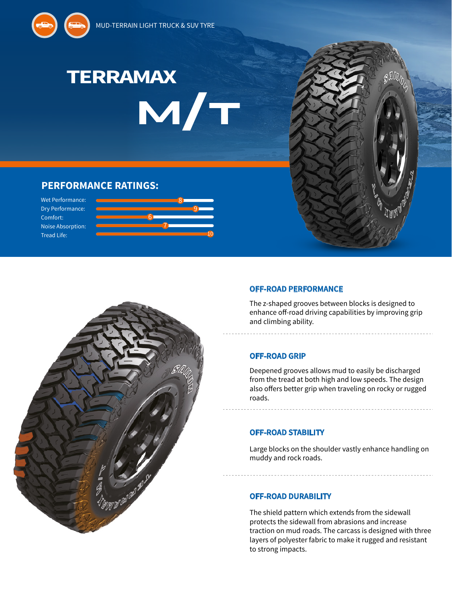



# **PERFORMANCE RATINGS:**

Wet Performance: Dry Performance: Comfort: Noise Absorption: Tread Life:





## **OFF-ROAD PERFORMANCE**

The z-shaped grooves between blocks is designed to enhance off-road driving capabilities by improving grip and climbing ability.

### **OFF-ROAD GRIP**

Deepened grooves allows mud to easily be discharged from the tread at both high and low speeds. The design also offers better grip when traveling on rocky or rugged roads.

### **OFF-ROAD STABILITY**

Large blocks on the shoulder vastly enhance handling on muddy and rock roads.

### **OFF-ROAD DURABILITY**

The shield pattern which extends from the sidewall protects the sidewall from abrasions and increase traction on mud roads. The carcass is designed with three layers of polyester fabric to make it rugged and resistant to strong impacts.